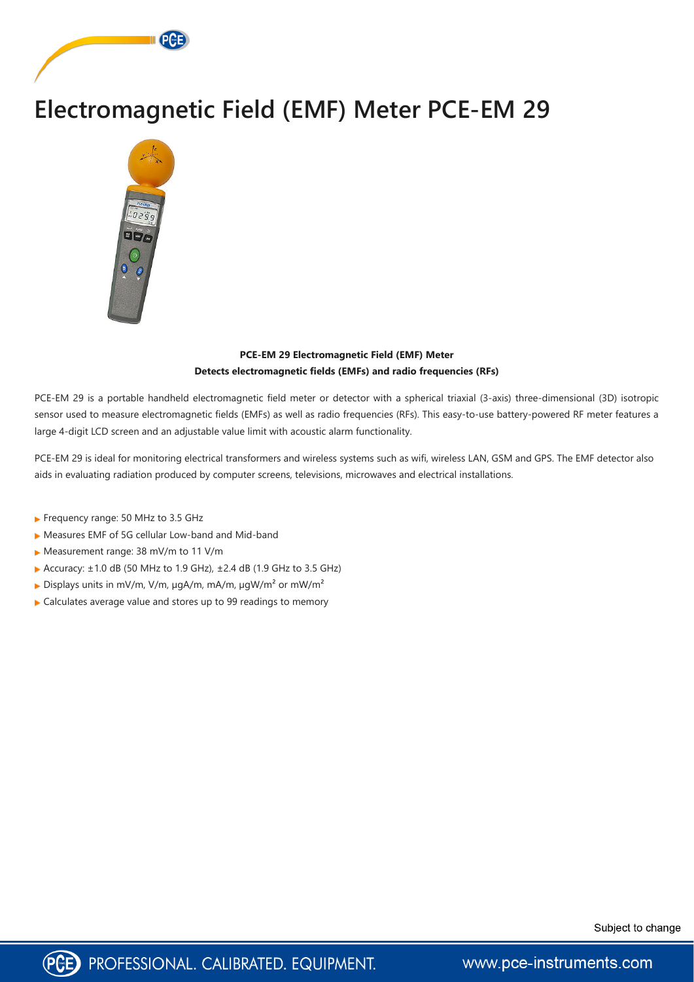



## **PCE-EM 29 Electromagnetic Field (EMF) Meter Detects electromagnetic fields (EMFs) and radio frequencies (RFs)**

PCE-EM 29 is a portable handheld electromagnetic field meter or detector with a spherical triaxial (3-axis) three-dimensional (3D) isotropic sensor used to measure electromagnetic fields (EMFs) as well as radio frequencies (RFs). This easy-to-use battery-powered RF meter features a large 4-digit LCD screen and an adjustable value limit with acoustic alarm functionality.

PCE-EM 29 is ideal for monitoring electrical transformers and wireless systems such as wifi, wireless LAN, GSM and GPS. The EMF detector also aids in evaluating radiation produced by computer screens, televisions, microwaves and electrical installations.

- Frequency range: 50 MHz to 3.5 GHz
- Measures EMF of 5G cellular Low-band and Mid-band
- ▶ Measurement range: 38 mV/m to 11 V/m
- Accuracy:  $\pm 1.0$  dB (50 MHz to 1.9 GHz),  $\pm 2.4$  dB (1.9 GHz to 3.5 GHz)
- Displays units in mV/m, V/m,  $\mu$ gA/m, mA/m,  $\mu$ gW/m<sup>2</sup> or mW/m<sup>2</sup>
- ► Calculates average value and stores up to 99 readings to memory





www.pce-instruments.com